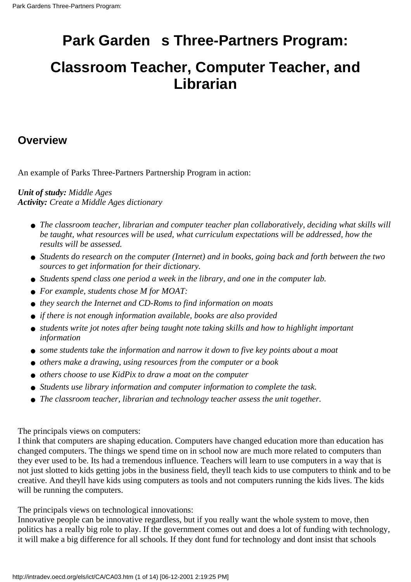## **Park Garden s Three-Partners Program:**

### **Classroom Teacher, Computer Teacher, and Librarian**

#### **Overview**

An example of Parks Three-Partners Partnership Program in action:

*Unit of study: Middle Ages Activity: Create a Middle Ages dictionary*

- **•** The classroom teacher, librarian and computer teacher plan collaboratively, deciding what skills will *be taught, what resources will be used, what curriculum expectations will be addressed, how the results will be assessed.*
- Students do research on the computer (Internet) and in books, going back and forth between the two *sources to get information for their dictionary.*
- *Students spend class one period a week in the library, and one in the computer lab.*
- *For example, students chose M for MOAT:*
- *they search the Internet and CD-Roms to find information on moats*
- *if there is not enough information available, books are also provided*
- students write jot notes after being taught note taking skills and how to highlight important *information*
- *some students take the information and narrow it down to five key points about a moat*
- *others make a drawing, using resources from the computer or a book*
- *others choose to use KidPix to draw a moat on the computer*
- *Students use library information and computer information to complete the task.*
- *The classroom teacher, librarian and technology teacher assess the unit together.*

The principal s views on computers:

I think that computers are shaping education. Computers have changed education more than education has changed computers. The things we spend time on in school now are much more related to computers than they ever used to be. It s had a tremendous influence. Teachers will learn to use computers in a way that is not just slotted to kids getting jobs in the business field, they ll teach kids to use computers to think and to be creative. And they ll have kids using computers as tools and not computers running the kids lives. The kids will be running the computers.

The principal s views on technological innovations:

Innovative people can be innovative regardless, but if you really want the whole system to move, then politics has a really big role to play. If the government comes out and does a lot of funding with technology, it will make a big difference for all schools. If they don t fund for technology and don t insist that schools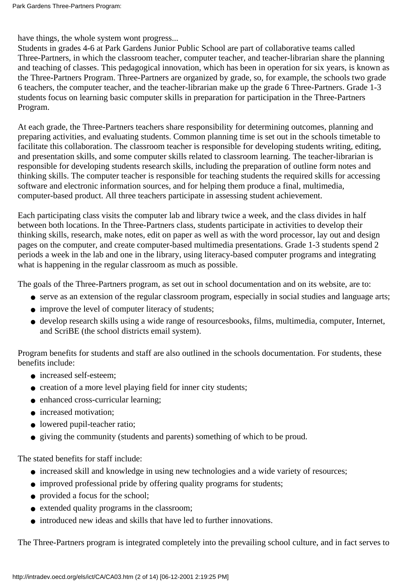have things, the whole system won t progress...

Students in grades 4-6 at Park Gardens Junior Public School are part of collaborative teams called Three-Partners, in which the classroom teacher, computer teacher, and teacher-librarian share the planning and teaching of classes. This pedagogical innovation, which has been in operation for six years, is known as the Three-Partners Program. Three-Partners are organized by grade, so, for example, the school s two grade 6 teachers, the computer teacher, and the teacher-librarian make up the grade 6 Three-Partners. Grade 1-3 students focus on learning basic computer skills in preparation for participation in the Three-Partners Program.

At each grade, the Three-Partners teachers share responsibility for determining outcomes, planning and preparing activities, and evaluating students. Common planning time is set out in the school s timetable to facilitate this collaboration. The classroom teacher is responsible for developing students writing, editing, and presentation skills, and some computer skills related to classroom learning. The teacher-librarian is responsible for developing students research skills, including the preparation of outline form notes and thinking skills. The computer teacher is responsible for teaching students the required skills for accessing software and electronic information sources, and for helping them produce a final, multimedia, computer-based product. All three teachers participate in assessing student achievement.

Each participating class visits the computer lab and library twice a week, and the class divides in half between both locations. In the Three-Partners class, students participate in activities to develop their thinking skills, research, make notes, edit on paper as well as with the word processor, lay out and design pages on the computer, and create computer-based multimedia presentations. Grade 1-3 students spend 2 periods a week in the lab and one in the library, using literacy-based computer programs and integrating what is happening in the regular classroom as much as possible.

The goals of the Three-Partners program, as set out in school documentation and on its website, are to:

- serve as an extension of the regular classroom program, especially in social studies and language arts;
- improve the level of computer literacy of students;
- develop research skills using a wide range of resources books, films, multimedia, computer, Internet, and ScriBE (the school district s email system).

Program benefits for students and staff are also outlined in the school s documentation. For students, these benefits include:

- increased self-esteem:
- creation of a more level playing field for inner city students;
- enhanced cross-curricular learning;
- increased motivation;
- lowered pupil-teacher ratio;
- giving the community (students and parents) something of which to be proud.

The stated benefits for staff include:

- increased skill and knowledge in using new technologies and a wide variety of resources;
- improved professional pride by offering quality programs for students;
- provided a focus for the school;
- extended quality programs in the classroom;
- introduced new ideas and skills that have led to further innovations.

The Three-Partners program is integrated completely into the prevailing school culture, and in fact serves to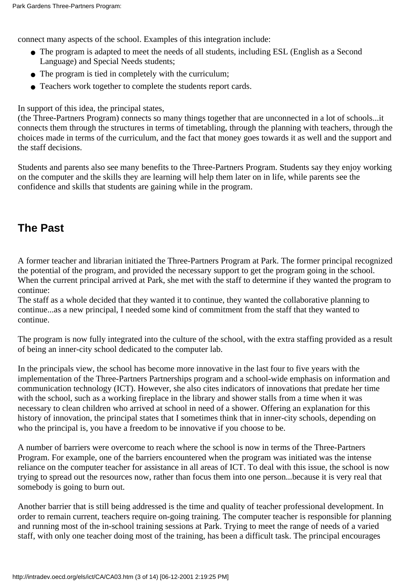connect many aspects of the school. Examples of this integration include:

- The program is adapted to meet the needs of all students, including ESL (English as a Second Language) and Special Needs students;
- The program is tied in completely with the curriculum;
- Teachers work together to complete the students report cards.

In support of this idea, the principal states,

(the Three-Partners Program) connects so many things together that are unconnected in a lot of schools...it connects them through the structures in terms of timetabling, through the planning with teachers, through the choices made in terms of the curriculum, and the fact that money goes towards it as well and the support and the staff decisions.

Students and parents also see many benefits to the Three-Partners Program. Students say they enjoy working on the computer and the skills they are learning will help them later on in life, while parents see the confidence and skills that students are gaining while in the program.

#### **The Past**

A former teacher and librarian initiated the Three-Partners Program at Park. The former principal recognized the potential of the program, and provided the necessary support to get the program going in the school. When the current principal arrived at Park, she met with the staff to determine if they wanted the program to continue:

The staff as a whole decided that they wanted it to continue, they wanted the collaborative planning to continue...as a new principal, I needed some kind of commitment from the staff that they wanted to continue.

The program is now fully integrated into the culture of the school, with the extra staffing provided as a result of being an inner-city school dedicated to the computer lab.

In the principal s view, the school has become more innovative in the last four to five years with the implementation of the Three-Partners Partnerships program and a school-wide emphasis on information and communication technology (ICT). However, she also cites indicators of innovations that predate her time with the school, such as a working fireplace in the library and shower stalls from a time when it was necessary to clean children who arrived at school in need of a shower. Offering an explanation for this history of innovation, the principal states that I sometimes think that in inner-city schools, depending on who the principal is, you have a freedom to be innovative if you choose to be.

A number of barriers were overcome to reach where the school is now in terms of the Three-Partners Program. For example, one of the barriers encountered when the program was initiated was the intense reliance on the computer teacher for assistance in all areas of ICT. To deal with this issue, the school is now trying to spread out the resources now, rather than focus them into one person...because it is very real that somebody is going to burn out.

Another barrier that is still being addressed is the time and quality of teacher professional development. In order to remain current, teachers require on-going training. The computer teacher is responsible for planning and running most of the in-school training sessions at Park. Trying to meet the range of needs of a varied staff, with only one teacher doing most of the training, has been a difficult task. The principal encourages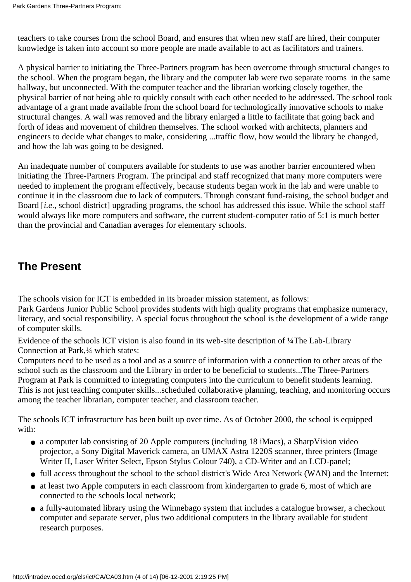teachers to take courses from the school Board, and ensures that when new staff are hired, their computer knowledge is taken into account so more people are made available to act as facilitators and trainers.

A physical barrier to initiating the Three-Partners program has been overcome through structural changes to the school. When the program began, the library and the computer lab were two separate rooms in the same hallway, but unconnected. With the computer teacher and the librarian working closely together, the physical barrier of not being able to quickly consult with each other needed to be addressed. The school took advantage of a grant made available from the school board for technologically innovative schools to make structural changes. A wall was removed and the library enlarged a little to facilitate that going back and forth of ideas and movement of children themselves. The school worked with architects, planners and engineers to decide what changes to make, considering ...traffic flow, how would the library be changed, and how the lab was going to be designed.

An inadequate number of computers available for students to use was another barrier encountered when initiating the Three-Partners Program. The principal and staff recognized that many more computers were needed to implement the program effectively, because students began work in the lab and were unable to continue it in the classroom due to lack of computers. Through constant fund-raising, the school budget and Board [*i.e*., school district] upgrading programs, the school has addressed this issue. While the school staff would always like more computers and software, the current student-computer ratio of 5:1 is much better than the provincial and Canadian averages for elementary schools.

#### **The Present**

The school s vision for ICT is embedded in its broader mission statement, as follows: Park Gardens Junior Public School provides students with high quality programs that emphasize numeracy, literacy, and social responsibility. A special focus throughout the school is the development of a wide range of computer skills.

Evidence of the schools ICT vision is also found in its web-site description of  $\frac{1}{4}$ The Lab-Library Connection at Park,¼ which states:

Computers need to be used as a tool and as a source of information with a connection to other areas of the school such as the classroom and the Library in order to be beneficial to students...The Three-Partners Program at Park is committed to integrating computers into the curriculum to benefit students learning. This is not just teaching computer skills...scheduled collaborative planning, teaching, and monitoring occurs among the teacher librarian, computer teacher, and classroom teacher.

The school s ICT infrastructure has been built up over time. As of October 2000, the school is equipped with:

- a computer lab consisting of 20 Apple computers (including 18 iMacs), a SharpVision video projector, a Sony Digital Maverick camera, an UMAX Astra 1220S scanner, three printers (Image Writer II, Laser Writer Select, Epson Stylus Colour 740), a CD-Writer and an LCD-panel;
- full access throughout the school to the school district's Wide Area Network (WAN) and the Internet;
- at least two Apple computers in each classroom from kindergarten to grade 6, most of which are connected to the school s local network:
- a fully-automated library using the Winnebago system that includes a catalogue browser, a checkout computer and separate server, plus two additional computers in the library available for student research purposes.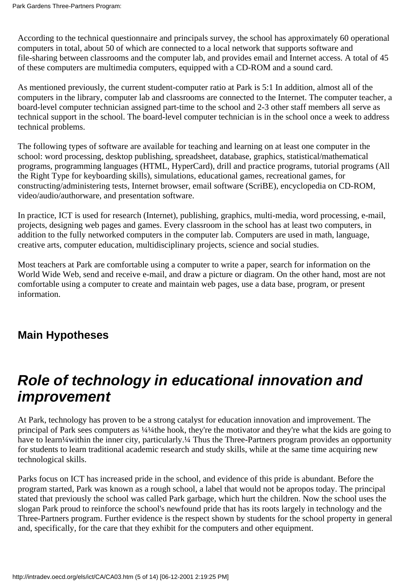According to the technical questionnaire and principal s survey, the school has approximately 60 operational computers in total, about 50 of which are connected to a local network that supports software and file-sharing between classrooms and the computer lab, and provides email and Internet access. A total of 45 of these computers are multimedia computers, equipped with a CD-ROM and a sound card.

As mentioned previously, the current student-computer ratio at Park is 5:1 In addition, almost all of the computers in the library, computer lab and classrooms are connected to the Internet. The computer teacher, a board-level computer technician assigned part-time to the school and 2-3 other staff members all serve as technical support in the school. The board-level computer technician is in the school once a week to address technical problems.

The following types of software are available for teaching and learning on at least one computer in the school: word processing, desktop publishing, spreadsheet, database, graphics, statistical/mathematical programs, programming languages (HTML, HyperCard), drill and practice programs, tutorial programs (All the Right Type for keyboarding skills), simulations, educational games, recreational games, for constructing/administering tests, Internet browser, email software (ScriBE), encyclopedia on CD-ROM, video/audio/authorware, and presentation software.

In practice, ICT is used for research (Internet), publishing, graphics, multi-media, word processing, e-mail, projects, designing web pages and games. Every classroom in the school has at least two computers, in addition to the fully networked computers in the computer lab. Computers are used in math, language, creative arts, computer education, multidisciplinary projects, science and social studies.

Most teachers at Park are comfortable using a computer to write a paper, search for information on the World Wide Web, send and receive e-mail, and draw a picture or diagram. On the other hand, most are not comfortable using a computer to create and maintain web pages, use a data base, program, or present information.

#### **Main Hypotheses**

## **Role of technology in educational innovation and improvement**

At Park, technology has proven to be a strong catalyst for education innovation and improvement. The principal of Park sees computers as ¼¼the hook, they're the motivator and they're what the kids are going to have to learn¼within the inner city, particularly.¼ Thus the Three-Partners program provides an opportunity for students to learn traditional academic research and study skills, while at the same time acquiring new technological skills.

Park s focus on ICT has increased pride in the school, and evidence of this pride is abundant. Before the program started, Park was known as a rough school, a label that would not be apropos today. The principal stated that previously the school was called Park garbage, which hurt the children. Now the school uses the slogan Park proud to reinforce the school's newfound pride that has its roots largely in technology and the Three-Partners program. Further evidence is the respect shown by students for the school property in general and, specifically, for the care that they exhibit for the computers and other equipment.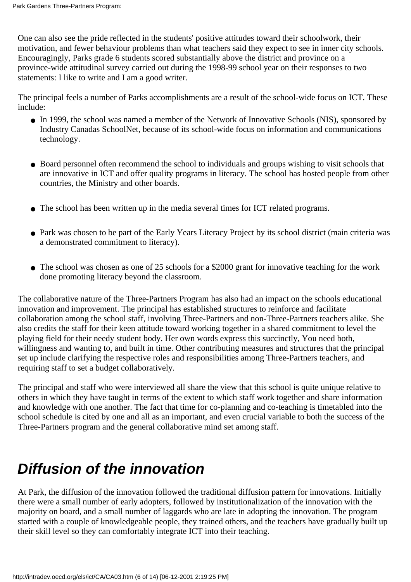One can also see the pride reflected in the students' positive attitudes toward their schoolwork, their motivation, and fewer behaviour problems than what teachers said they expect to see in inner city schools. Encouragingly, Parks grade 6 students scored substantially above the district and province on a province-wide attitudinal survey carried out during the 1998-99 school year on their responses to two statements: I like to write and I am a good writer.

The principal feels a number of Park s accomplishments are a result of the school-wide focus on ICT. These include:

- In 1999, the school was named a member of the Network of Innovative Schools (NIS), sponsored by Industry Canada s SchoolNet, because of its school-wide focus on information and communications technology.
- Board personnel often recommend the school to individuals and groups wishing to visit schools that are innovative in ICT and offer quality programs in literacy. The school has hosted people from other countries, the Ministry and other boards.
- The school has been written up in the media several times for ICT related programs.
- Park was chosen to be part of the Early Years Literacy Project by its school district (main criteria was a demonstrated commitment to literacy).
- The school was chosen as one of 25 schools for a \$2000 grant for innovative teaching for the work done promoting literacy beyond the classroom.

The collaborative nature of the Three-Partners Program has also had an impact on the school s educational innovation and improvement. The principal has established structures to reinforce and facilitate collaboration among the school staff, involving Three-Partners and non-Three-Partners teachers alike. She also credits the staff for their keen attitude toward working together in a shared commitment to level the playing field for their needy student body. Her own words express this succinctly, You need both, willingness and wanting to, and built in time. Other contributing measures and structures that the principal set up include clarifying the respective roles and responsibilities among Three-Partners teachers, and requiring staff to set a budget collaboratively.

The principal and staff who were interviewed all share the view that this school is quite unique relative to others in which they have taught in terms of the extent to which staff work together and share information and knowledge with one another. The fact that time for co-planning and co-teaching is timetabled into the school schedule is cited by one and all as an important, and even crucial variable to both the success of the Three-Partners program and the general collaborative mind set among staff.

## **Diffusion of the innovation**

At Park, the diffusion of the innovation followed the traditional diffusion pattern for innovations. Initially there were a small number of early adopters, followed by institutionalization of the innovation with the majority on board, and a small number of laggards who are late in adopting the innovation. The program started with a couple of knowledgeable people, they trained others, and the teachers have gradually built up their skill level so they can comfortably integrate ICT into their teaching.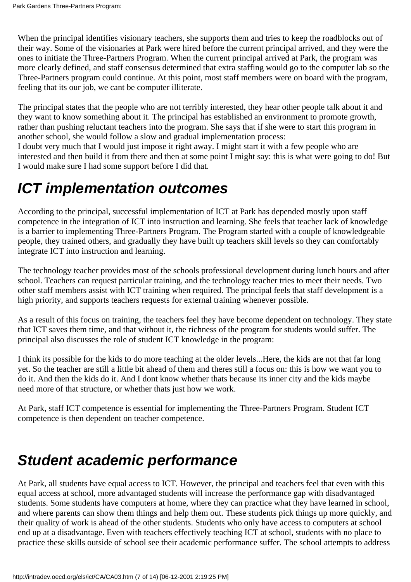When the principal identifies visionary teachers, she supports them and tries to keep the roadblocks out of their way. Some of the visionaries at Park were hired before the current principal arrived, and they were the ones to initiate the Three-Partners Program. When the current principal arrived at Park, the program was more clearly defined, and staff consensus determined that extra staffing would go to the computer lab so the Three-Partners program could continue. At this point, most staff members were on board with the program, feeling that it s our job, we can t be computer illiterate.

The principal states that the people who are not terribly interested, they hear other people talk about it and they want to know something about it. The principal has established an environment to promote growth, rather than pushing reluctant teachers into the program. She says that if she were to start this program in another school, she would follow a slow and gradual implementation process:

I doubt very much that I would just impose it right away. I might start it with a few people who are interested and then build it from there and then at some point I might say: this is what were going to do! But I would make sure I had some support before I did that.

### **ICT implementation outcomes**

According to the principal, successful implementation of ICT at Park has depended mostly upon staff competence in the integration of ICT into instruction and learning. She feels that teacher lack of knowledge is a barrier to implementing Three-Partners Program. The Program started with a couple of knowledgeable people, they trained others, and gradually they have built up teachers skill levels so they can comfortably integrate ICT into instruction and learning.

The technology teacher provides most of the school s professional development during lunch hours and after school. Teachers can request particular training, and the technology teacher tries to meet their needs. Two other staff members assist with ICT training when required. The principal feels that staff development is a high priority, and supports teachers requests for external training whenever possible.

As a result of this focus on training, the teachers feel they have become dependent on technology. They state that ICT saves them time, and that without it, the richness of the program for students would suffer. The principal also discusses the role of student ICT knowledge in the program:

I think it s possible for the kids to do more teaching at the older levels...Here, the kids are not that far long yet. So the teacher are still a little bit ahead of them and theres still a focus on: this is how we want you to do it. And then the kids do it. And I dont know whether that s because it s inner city and the kids maybe need more of that structure, or whether that s just how we work.

At Park, staff ICT competence is essential for implementing the Three-Partners Program. Student ICT competence is then dependent on teacher competence.

# **Student academic performance**

At Park, all students have equal access to ICT. However, the principal and teachers feel that even with this equal access at school, more advantaged students will increase the performance gap with disadvantaged students. Some students have computers at home, where they can practice what they have learned in school, and where parents can show them things and help them out. These students pick things up more quickly, and their quality of work is ahead of the other students. Students who only have access to computers at school end up at a disadvantage. Even with teachers effectively teaching ICT at school, students with no place to practice these skills outside of school see their academic performance suffer. The school attempts to address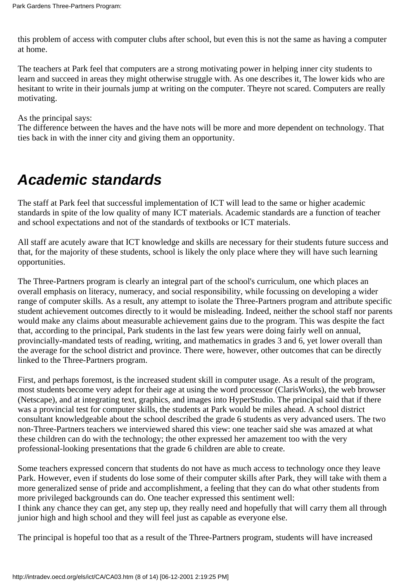this problem of access with computer clubs after school, but even this is not the same as having a computer at home.

The teachers at Park feel that computers are a strong motivating power in helping inner city students to learn and succeed in areas they might otherwise struggle with. As one describes it, The lower kids who are hesitant to write in their journals jump at writing on the computer. They re not scared. Computers are really motivating.

As the principal says:

The difference between the haves and the have nots will be more and more dependent on technology. That ties back in with the inner city and giving them an opportunity.

## **Academic standards**

The staff at Park feel that successful implementation of ICT will lead to the same or higher academic standards in spite of the low quality of many ICT materials. Academic standards are a function of teacher and school expectations and not of the standards of textbooks or ICT materials.

All staff are acutely aware that ICT knowledge and skills are necessary for their students future success and that, for the majority of these students, school is likely the only place where they will have such learning opportunities.

The Three-Partners program is clearly an integral part of the school's curriculum, one which places an overall emphasis on literacy, numeracy, and social responsibility, while focussing on developing a wider range of computer skills. As a result, any attempt to isolate the Three-Partners program and attribute specific student achievement outcomes directly to it would be misleading. Indeed, neither the school staff nor parents would make any claims about measurable achievement gains due to the program. This was despite the fact that, according to the principal, Park students in the last few years were doing fairly well on annual, provincially-mandated tests of reading, writing, and mathematics in grades 3 and 6, yet lower overall than the average for the school district and province. There were, however, other outcomes that can be directly linked to the Three-Partners program.

First, and perhaps foremost, is the increased student skill in computer usage. As a result of the program, most students become very adept for their age at using the word processor (ClarisWorks), the web browser (Netscape), and at integrating text, graphics, and images into HyperStudio. The principal said that if there was a provincial test for computer skills, the students at Park would be miles ahead. A school district consultant knowledgeable about the school described the grade 6 students as very advanced users. The two non-Three-Partners teachers we interviewed shared this view: one teacher said she was amazed at what these children can do with the technology; the other expressed her amazement too with the very professional-looking presentations that the grade 6 children are able to create.

Some teachers expressed concern that students do not have as much access to technology once they leave Park. However, even if students do lose some of their computer skills after Park, they will take with them a more generalized sense of pride and accomplishment, a feeling that they can do what other students from more privileged backgrounds can do. One teacher expressed this sentiment well: I think any chance they can get, any step up, they really need and hopefully that will carry them all through

junior high and high school and they will feel just as capable as everyone else.

The principal is hopeful too that as a result of the Three-Partners program, students will have increased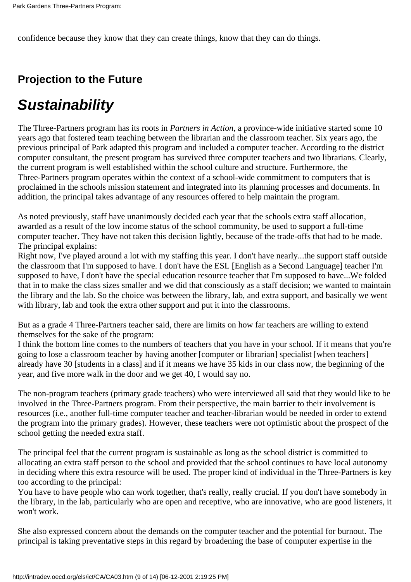confidence because they know that they can create things, know that they can do things.

### **Projection to the Future**

# **Sustainability**

The Three-Partners program has its roots in *Partners in Action*, a province-wide initiative started some 10 years ago that fostered team teaching between the librarian and the classroom teacher. Six years ago, the previous principal of Park adapted this program and included a computer teacher. According to the district computer consultant, the present program has survived three computer teachers and two librarians. Clearly, the current program is well established within the school culture and structure. Furthermore, the Three-Partners program operates within the context of a school-wide commitment to computers that is proclaimed in the school s mission statement and integrated into its planning processes and documents. In addition, the principal takes advantage of any resources offered to help maintain the program.

As noted previously, staff have unanimously decided each year that the school s extra staff allocation, awarded as a result of the low income status of the school community, be used to support a full-time computer teacher. They have not taken this decision lightly, because of the trade-offs that had to be made. The principal explains:

Right now, I've played around a lot with my staffing this year. I don't have nearly...the support staff outside the classroom that I'm supposed to have. I don't have the ESL [English as a Second Language] teacher I'm supposed to have, I don't have the special education resource teacher that I'm supposed to have...We folded that in to make the class sizes smaller and we did that consciously as a staff decision; we wanted to maintain the library and the lab. So the choice was between the library, lab, and extra support, and basically we went with library, lab and took the extra other support and put it into the classrooms.

But as a grade 4 Three-Partners teacher said, there are limits on how far teachers are willing to extend themselves for the sake of the program:

I think the bottom line comes to the numbers of teachers that you have in your school. If it means that you're going to lose a classroom teacher by having another [computer or librarian] specialist [when teachers] already have 30 [students in a class] and if it means we have 35 kids in our class now, the beginning of the year, and five more walk in the door and we get 40, I would say no.

The non-program teachers (primary grade teachers) who were interviewed all said that they would like to be involved in the Three-Partners program. From their perspective, the main barrier to their involvement is resources (i.e., another full-time computer teacher and teacher-librarian would be needed in order to extend the program into the primary grades). However, these teachers were not optimistic about the prospect of the school getting the needed extra staff.

The principal feel that the current program is sustainable as long as the school district is committed to allocating an extra staff person to the school and provided that the school continues to have local autonomy in deciding where this extra resource will be used. The proper kind of individual in the Three-Partners is key too according to the principal:

You have to have people who can work together, that's really, really crucial. If you don't have somebody in the library, in the lab, particularly who are open and receptive, who are innovative, who are good listeners, it won't work.

She also expressed concern about the demands on the computer teacher and the potential for burnout. The principal is taking preventative steps in this regard by broadening the base of computer expertise in the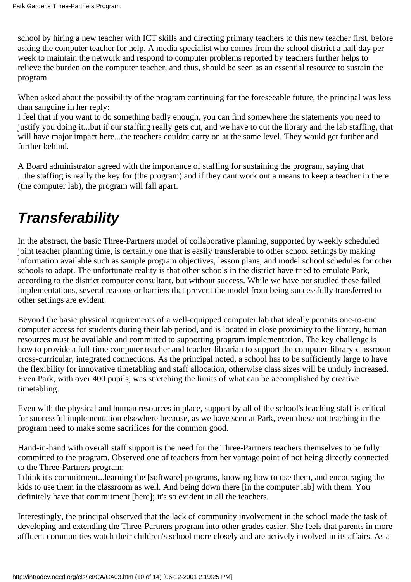school by hiring a new teacher with ICT skills and directing primary teachers to this new teacher first, before asking the computer teacher for help. A media specialist who comes from the school district a half day per week to maintain the network and respond to computer problems reported by teachers further helps to relieve the burden on the computer teacher, and thus, should be seen as an essential resource to sustain the program.

When asked about the possibility of the program continuing for the foreseeable future, the principal was less than sanguine in her reply:

I feel that if you want to do something badly enough, you can find somewhere the statements you need to justify you doing it...but if our staffing really gets cut, and we have to cut the library and the lab staffing, that will have major impact here...the teachers couldn t carry on at the same level. They would get further and further behind.

A Board administrator agreed with the importance of staffing for sustaining the program, saying that ...the staffing is really the key for (the program) and if they cant work out a means to keep a teacher in there (the computer lab), the program will fall apart.

# **Transferability**

In the abstract, the basic Three-Partners model of collaborative planning, supported by weekly scheduled joint teacher planning time, is certainly one that is easily transferable to other school settings by making information available such as sample program objectives, lesson plans, and model school schedules for other schools to adapt. The unfortunate reality is that other schools in the district have tried to emulate Park, according to the district computer consultant, but without success. While we have not studied these failed implementations, several reasons or barriers that prevent the model from being successfully transferred to other settings are evident.

Beyond the basic physical requirements of a well-equipped computer lab that ideally permits one-to-one computer access for students during their lab period, and is located in close proximity to the library, human resources must be available and committed to supporting program implementation. The key challenge is how to provide a full-time computer teacher and teacher-librarian to support the computer-library-classroom cross-curricular, integrated connections. As the principal noted, a school has to be sufficiently large to have the flexibility for innovative timetabling and staff allocation, otherwise class sizes will be unduly increased. Even Park, with over 400 pupils, was stretching the limits of what can be accomplished by creative timetabling.

Even with the physical and human resources in place, support by all of the school's teaching staff is critical for successful implementation elsewhere because, as we have seen at Park, even those not teaching in the program need to make some sacrifices for the common good.

Hand-in-hand with overall staff support is the need for the Three-Partners teachers themselves to be fully committed to the program. Observed one of teachers from her vantage point of not being directly connected to the Three-Partners program:

I think it's commitment...learning the [software] programs, knowing how to use them, and encouraging the kids to use them in the classroom as well. And being down there [in the computer lab] with them. You definitely have that commitment [here]; it's so evident in all the teachers.

Interestingly, the principal observed that the lack of community involvement in the school made the task of developing and extending the Three-Partners program into other grades easier. She feels that parents in more affluent communities watch their children's school more closely and are actively involved in its affairs. As a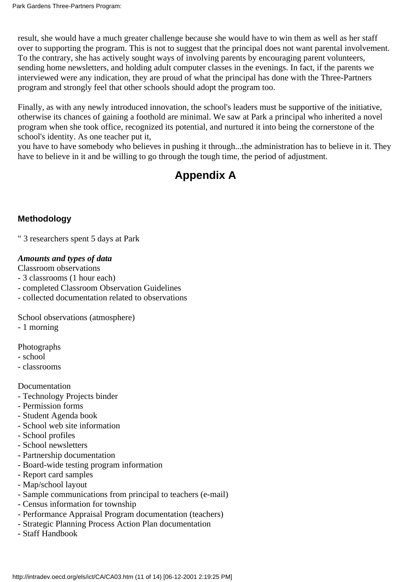result, she would have a much greater challenge because she would have to win them as well as her staff over to supporting the program. This is not to suggest that the principal does not want parental involvement. To the contrary, she has actively sought ways of involving parents by encouraging parent volunteers, sending home newsletters, and holding adult computer classes in the evenings. In fact, if the parents we interviewed were any indication, they are proud of what the principal has done with the Three-Partners program and strongly feel that other schools should adopt the program too.

Finally, as with any newly introduced innovation, the school's leaders must be supportive of the initiative, otherwise its chances of gaining a foothold are minimal. We saw at Park a principal who inherited a novel program when she took office, recognized its potential, and nurtured it into being the cornerstone of the school's identity. As one teacher put it,

you have to have somebody who believes in pushing it through...the administration has to believe in it. They have to believe in it and be willing to go through the tough time, the period of adjustment.

### **Appendix A**

#### **Methodology**

" 3 researchers spent 5 days at Park

#### *Amounts and types of data*

Classroom observations

- 3 classrooms (1 hour each)
- completed Classroom Observation Guidelines
- collected documentation related to observations

School observations (atmosphere)

- 1 morning

Photographs

- school
- classrooms

Documentation

- Technology Projects binder
- Permission forms
- Student Agenda book
- School web site information
- School profiles
- School newsletters
- Partnership documentation
- Board-wide testing program information
- Report card samples
- Map/school layout
- Sample communications from principal to teachers (e-mail)
- Census information for township
- Performance Appraisal Program documentation (teachers)
- Strategic Planning Process Action Plan documentation
- Staff Handbook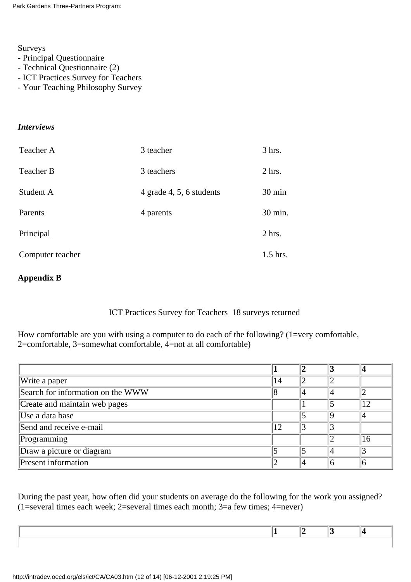Surveys

- Principal Questionnaire
- Technical Questionnaire (2)
- ICT Practices Survey for Teachers
- Your Teaching Philosophy Survey

#### *Interviews*

| Teacher A        | 3 teacher                | 3 hrs.   |
|------------------|--------------------------|----------|
| Teacher B        | 3 teachers               | $2$ hrs. |
| Student A        | 4 grade 4, 5, 6 students | 30 min   |
| Parents          | 4 parents                | 30 min.  |
| Principal        |                          | 2 hrs.   |
| Computer teacher |                          | 1.5 hrs. |

#### **Appendix B**

#### ICT Practices Survey for Teachers 18 surveys returned

How comfortable are you with using a computer to do each of the following? (1=very comfortable, 2=comfortable, 3=somewhat comfortable, 4=not at all comfortable)

| Write a paper                     | 14 |  |    |
|-----------------------------------|----|--|----|
| Search for information on the WWW |    |  |    |
| Create and maintain web pages     |    |  | 12 |
| Use a data base                   |    |  |    |
| Send and receive e-mail           | 12 |  |    |
| Programming                       |    |  | 16 |
| Draw a picture or diagram         |    |  |    |
| Present information               |    |  |    |

During the past year, how often did your students on average do the following for the work you assigned?  $(1=$ several times each week; 2=several times each month; 3=a few times; 4=never)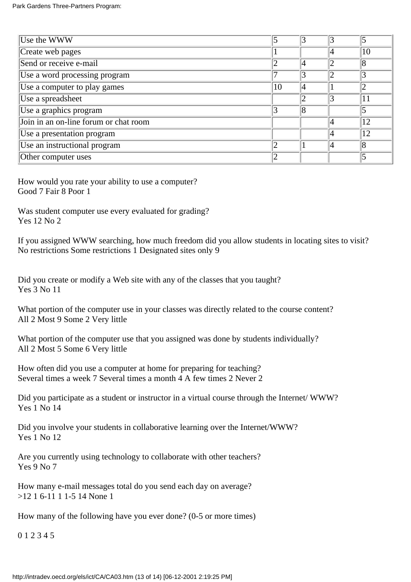| Use the WWW                           |    |  |    |
|---------------------------------------|----|--|----|
| Create web pages                      |    |  | 10 |
| Send or receive e-mail                |    |  |    |
| Use a word processing program         |    |  |    |
| Use a computer to play games          | 10 |  |    |
| Use a spreadsheet                     |    |  | 11 |
| Use a graphics program                |    |  |    |
| Join in an on-line forum or chat room |    |  | 12 |
| Use a presentation program            |    |  | 12 |
| Use an instructional program          |    |  |    |
| Other computer uses                   |    |  |    |

How would you rate your ability to use a computer? Good 7 Fair 8 Poor 1

Was student computer use every evaluated for grading? Yes 12 No 2

If you assigned WWW searching, how much freedom did you allow students in locating sites to visit? No restrictions Some restrictions 1 Designated sites only 9

Did you create or modify a Web site with any of the classes that you taught? Yes 3 No 11

What portion of the computer use in your classes was directly related to the course content? All 2 Most 9 Some 2 Very little

What portion of the computer use that you assigned was done by students individually? All 2 Most 5 Some 6 Very little

How often did you use a computer at home for preparing for teaching? Several times a week 7 Several times a month 4 A few times 2 Never 2

Did you participate as a student or instructor in a virtual course through the Internet/ WWW? Yes 1 No 14

Did you involve your students in collaborative learning over the Internet/WWW? Yes 1 No 12

Are you currently using technology to collaborate with other teachers? Yes 9 No 7

How many e-mail messages total do you send each day on average? >12 1 6-11 1 1-5 14 None 1

How many of the following have you ever done? (0-5 or more times)

0 1 2 3 4 5